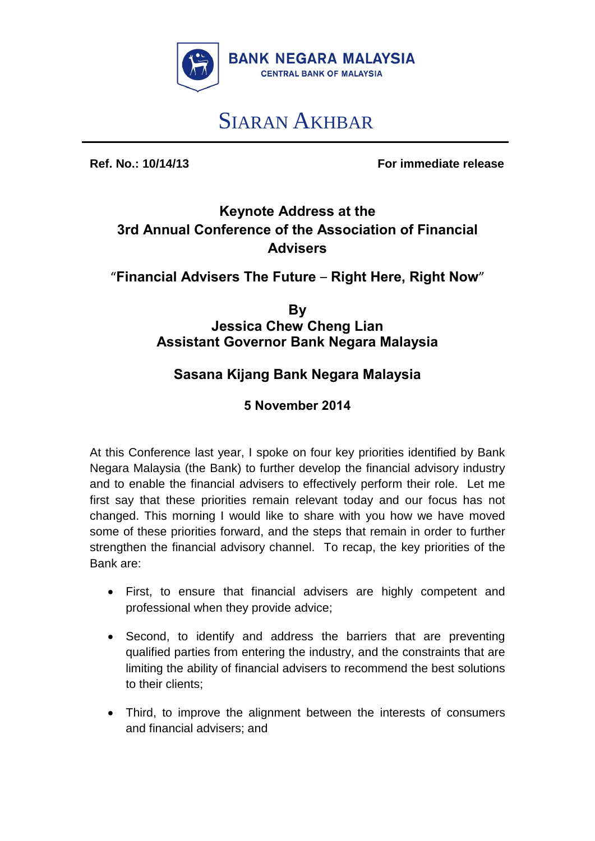

# SIARAN AKHBAR

**Ref. No.: 10/14/13 For immediate release**

## **Keynote Address at the 3rd Annual Conference of the Association of Financial Advisers**

#### "**Financial Advisers The Future** – **Right Here, Right Now**"

**By Jessica Chew Cheng Lian Assistant Governor Bank Negara Malaysia** 

### **Sasana Kijang Bank Negara Malaysia**

#### **5 November 2014**

At this Conference last year, I spoke on four key priorities identified by Bank Negara Malaysia (the Bank) to further develop the financial advisory industry and to enable the financial advisers to effectively perform their role. Let me first say that these priorities remain relevant today and our focus has not changed. This morning I would like to share with you how we have moved some of these priorities forward, and the steps that remain in order to further strengthen the financial advisory channel. To recap, the key priorities of the Bank are:

- First, to ensure that financial advisers are highly competent and professional when they provide advice;
- Second, to identify and address the barriers that are preventing qualified parties from entering the industry, and the constraints that are limiting the ability of financial advisers to recommend the best solutions to their clients;
- Third, to improve the alignment between the interests of consumers and financial advisers; and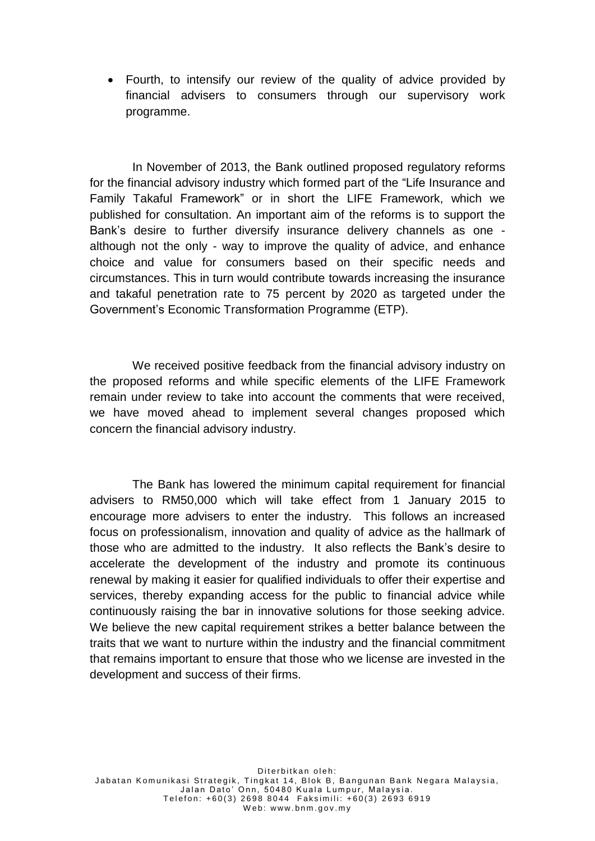Fourth, to intensify our review of the quality of advice provided by financial advisers to consumers through our supervisory work programme.

In November of 2013, the Bank outlined proposed regulatory reforms for the financial advisory industry which formed part of the "Life Insurance and Family Takaful Framework" or in short the LIFE Framework, which we published for consultation. An important aim of the reforms is to support the Bank's desire to further diversify insurance delivery channels as one although not the only - way to improve the quality of advice, and enhance choice and value for consumers based on their specific needs and circumstances. This in turn would contribute towards increasing the insurance and takaful penetration rate to 75 percent by 2020 as targeted under the Government's Economic Transformation Programme (ETP).

We received positive feedback from the financial advisory industry on the proposed reforms and while specific elements of the LIFE Framework remain under review to take into account the comments that were received, we have moved ahead to implement several changes proposed which concern the financial advisory industry.

The Bank has lowered the minimum capital requirement for financial advisers to RM50,000 which will take effect from 1 January 2015 to encourage more advisers to enter the industry. This follows an increased focus on professionalism, innovation and quality of advice as the hallmark of those who are admitted to the industry. It also reflects the Bank's desire to accelerate the development of the industry and promote its continuous renewal by making it easier for qualified individuals to offer their expertise and services, thereby expanding access for the public to financial advice while continuously raising the bar in innovative solutions for those seeking advice. We believe the new capital requirement strikes a better balance between the traits that we want to nurture within the industry and the financial commitment that remains important to ensure that those who we license are invested in the development and success of their firms.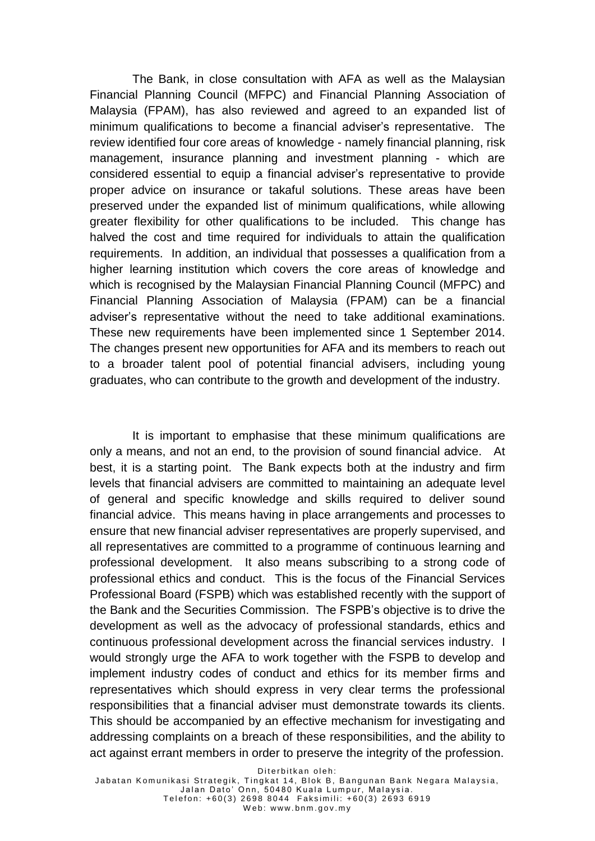The Bank, in close consultation with AFA as well as the Malaysian Financial Planning Council (MFPC) and Financial Planning Association of Malaysia (FPAM), has also reviewed and agreed to an expanded list of minimum qualifications to become a financial adviser's representative. The review identified four core areas of knowledge - namely financial planning, risk management, insurance planning and investment planning - which are considered essential to equip a financial adviser's representative to provide proper advice on insurance or takaful solutions. These areas have been preserved under the expanded list of minimum qualifications, while allowing greater flexibility for other qualifications to be included. This change has halved the cost and time required for individuals to attain the qualification requirements. In addition, an individual that possesses a qualification from a higher learning institution which covers the core areas of knowledge and which is recognised by the Malaysian Financial Planning Council (MFPC) and Financial Planning Association of Malaysia (FPAM) can be a financial adviser's representative without the need to take additional examinations. These new requirements have been implemented since 1 September 2014. The changes present new opportunities for AFA and its members to reach out to a broader talent pool of potential financial advisers, including young graduates, who can contribute to the growth and development of the industry.

It is important to emphasise that these minimum qualifications are only a means, and not an end, to the provision of sound financial advice. At best, it is a starting point. The Bank expects both at the industry and firm levels that financial advisers are committed to maintaining an adequate level of general and specific knowledge and skills required to deliver sound financial advice. This means having in place arrangements and processes to ensure that new financial adviser representatives are properly supervised, and all representatives are committed to a programme of continuous learning and professional development. It also means subscribing to a strong code of professional ethics and conduct. This is the focus of the Financial Services Professional Board (FSPB) which was established recently with the support of the Bank and the Securities Commission. The FSPB's objective is to drive the development as well as the advocacy of professional standards, ethics and continuous professional development across the financial services industry. I would strongly urge the AFA to work together with the FSPB to develop and implement industry codes of conduct and ethics for its member firms and representatives which should express in very clear terms the professional responsibilities that a financial adviser must demonstrate towards its clients. This should be accompanied by an effective mechanism for investigating and addressing complaints on a breach of these responsibilities, and the ability to act against errant members in order to preserve the integrity of the profession.

Diterbitkan oleh: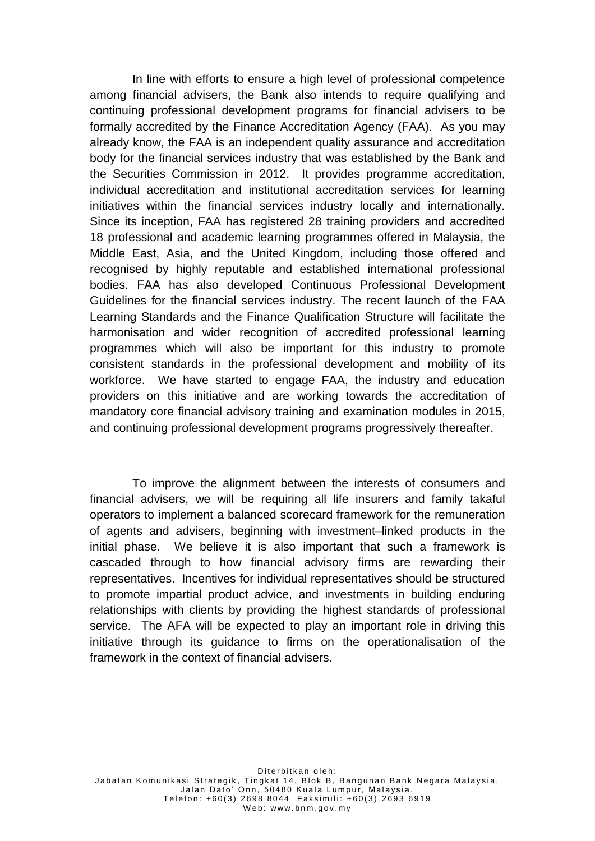In line with efforts to ensure a high level of professional competence among financial advisers, the Bank also intends to require qualifying and continuing professional development programs for financial advisers to be formally accredited by the Finance Accreditation Agency (FAA). As you may already know, the FAA is an independent quality assurance and accreditation body for the financial services industry that was established by the Bank and the Securities Commission in 2012. It provides programme accreditation, individual accreditation and institutional accreditation services for learning initiatives within the financial services industry locally and internationally. Since its inception, FAA has registered 28 training providers and accredited 18 professional and academic learning programmes offered in Malaysia, the Middle East, Asia, and the United Kingdom, including those offered and recognised by highly reputable and established international professional bodies. FAA has also developed Continuous Professional Development Guidelines for the financial services industry. The recent launch of the FAA Learning Standards and the Finance Qualification Structure will facilitate the harmonisation and wider recognition of accredited professional learning programmes which will also be important for this industry to promote consistent standards in the professional development and mobility of its workforce. We have started to engage FAA, the industry and education providers on this initiative and are working towards the accreditation of mandatory core financial advisory training and examination modules in 2015, and continuing professional development programs progressively thereafter.

To improve the alignment between the interests of consumers and financial advisers, we will be requiring all life insurers and family takaful operators to implement a balanced scorecard framework for the remuneration of agents and advisers, beginning with investment–linked products in the initial phase. We believe it is also important that such a framework is cascaded through to how financial advisory firms are rewarding their representatives. Incentives for individual representatives should be structured to promote impartial product advice, and investments in building enduring relationships with clients by providing the highest standards of professional service. The AFA will be expected to play an important role in driving this initiative through its guidance to firms on the operationalisation of the framework in the context of financial advisers.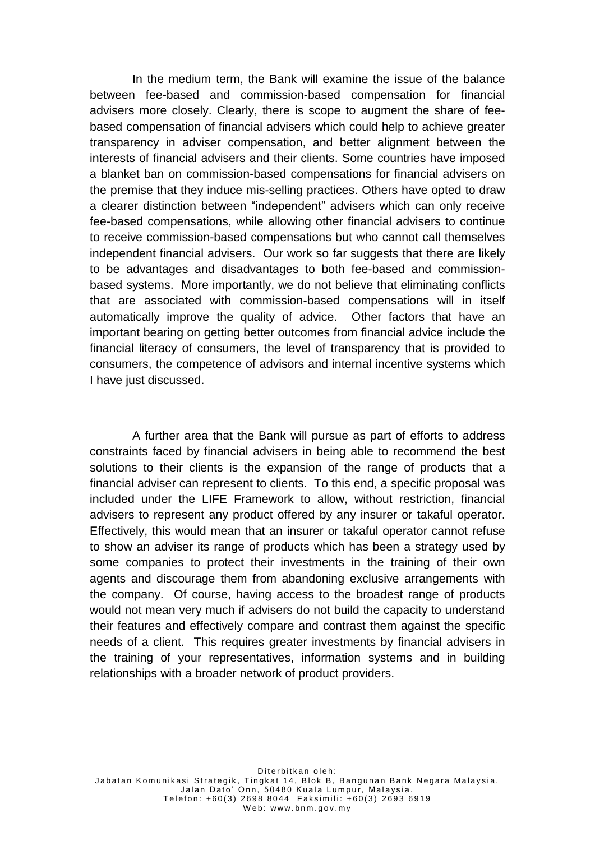In the medium term, the Bank will examine the issue of the balance between fee-based and commission-based compensation for financial advisers more closely. Clearly, there is scope to augment the share of feebased compensation of financial advisers which could help to achieve greater transparency in adviser compensation, and better alignment between the interests of financial advisers and their clients. Some countries have imposed a blanket ban on commission-based compensations for financial advisers on the premise that they induce mis-selling practices. Others have opted to draw a clearer distinction between "independent" advisers which can only receive fee-based compensations, while allowing other financial advisers to continue to receive commission-based compensations but who cannot call themselves independent financial advisers. Our work so far suggests that there are likely to be advantages and disadvantages to both fee-based and commissionbased systems. More importantly, we do not believe that eliminating conflicts that are associated with commission-based compensations will in itself automatically improve the quality of advice. Other factors that have an important bearing on getting better outcomes from financial advice include the financial literacy of consumers, the level of transparency that is provided to consumers, the competence of advisors and internal incentive systems which I have just discussed.

A further area that the Bank will pursue as part of efforts to address constraints faced by financial advisers in being able to recommend the best solutions to their clients is the expansion of the range of products that a financial adviser can represent to clients. To this end, a specific proposal was included under the LIFE Framework to allow, without restriction, financial advisers to represent any product offered by any insurer or takaful operator. Effectively, this would mean that an insurer or takaful operator cannot refuse to show an adviser its range of products which has been a strategy used by some companies to protect their investments in the training of their own agents and discourage them from abandoning exclusive arrangements with the company. Of course, having access to the broadest range of products would not mean very much if advisers do not build the capacity to understand their features and effectively compare and contrast them against the specific needs of a client. This requires greater investments by financial advisers in the training of your representatives, information systems and in building relationships with a broader network of product providers.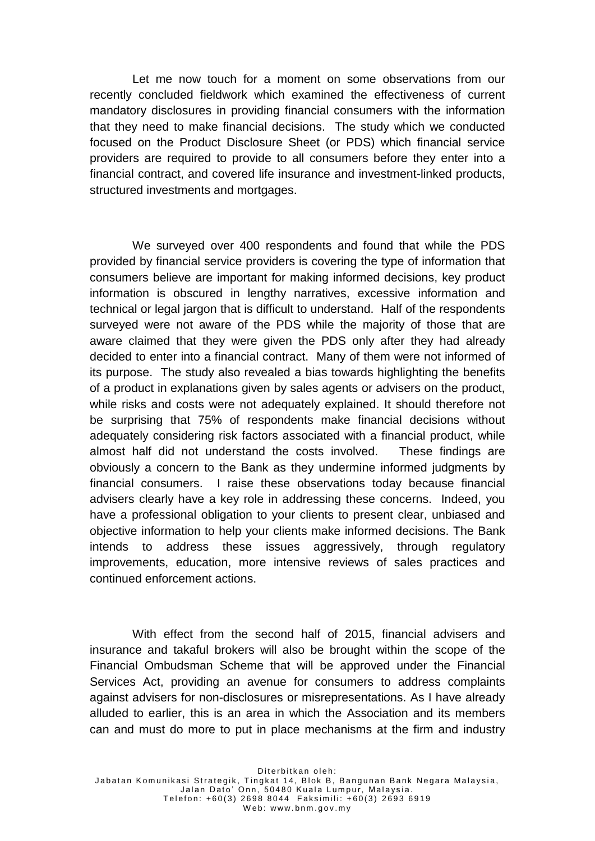Let me now touch for a moment on some observations from our recently concluded fieldwork which examined the effectiveness of current mandatory disclosures in providing financial consumers with the information that they need to make financial decisions. The study which we conducted focused on the Product Disclosure Sheet (or PDS) which financial service providers are required to provide to all consumers before they enter into a financial contract, and covered life insurance and investment-linked products, structured investments and mortgages.

We surveyed over 400 respondents and found that while the PDS provided by financial service providers is covering the type of information that consumers believe are important for making informed decisions, key product information is obscured in lengthy narratives, excessive information and technical or legal jargon that is difficult to understand. Half of the respondents surveyed were not aware of the PDS while the majority of those that are aware claimed that they were given the PDS only after they had already decided to enter into a financial contract. Many of them were not informed of its purpose. The study also revealed a bias towards highlighting the benefits of a product in explanations given by sales agents or advisers on the product, while risks and costs were not adequately explained. It should therefore not be surprising that 75% of respondents make financial decisions without adequately considering risk factors associated with a financial product, while almost half did not understand the costs involved. These findings are obviously a concern to the Bank as they undermine informed judgments by financial consumers. I raise these observations today because financial advisers clearly have a key role in addressing these concerns. Indeed, you have a professional obligation to your clients to present clear, unbiased and objective information to help your clients make informed decisions. The Bank intends to address these issues aggressively, through regulatory improvements, education, more intensive reviews of sales practices and continued enforcement actions.

With effect from the second half of 2015, financial advisers and insurance and takaful brokers will also be brought within the scope of the Financial Ombudsman Scheme that will be approved under the Financial Services Act, providing an avenue for consumers to address complaints against advisers for non-disclosures or misrepresentations. As I have already alluded to earlier, this is an area in which the Association and its members can and must do more to put in place mechanisms at the firm and industry